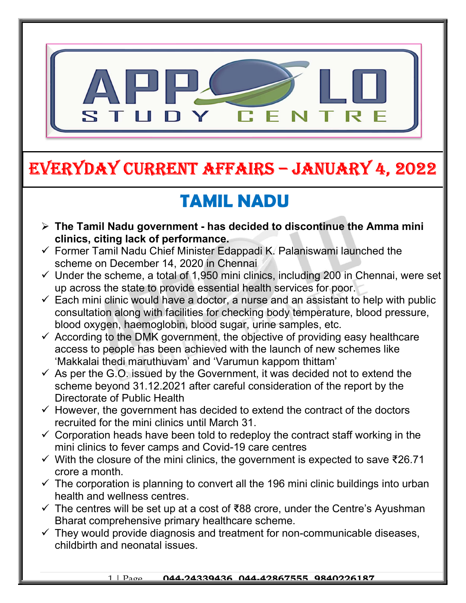

# EVERYDAY CURRENT AFFAIRS – JANUARY 4, 2022

# TAMIL NADU

- $\triangleright$  The Tamil Nadu government has decided to discontinue the Amma mini clinics, citing lack of performance.
- $\checkmark$  Former Tamil Nadu Chief Minister Edappadi K. Palaniswami launched the scheme on December 14, 2020 in Chennai

-

- $\checkmark$  Under the scheme, a total of 1,950 mini clinics, including 200 in Chennai, were set up across the state to provide essential health services for poor.
- $\checkmark$  Each mini clinic would have a doctor, a nurse and an assistant to help with public consultation along with facilities for checking body temperature, blood pressure, blood oxygen, haemoglobin, blood sugar, urine samples, etc.
- $\checkmark$  According to the DMK government, the objective of providing easy healthcare access to people has been achieved with the launch of new schemes like 'Makkalai thedi maruthuvam' and 'Varumun kappom thittam'
- $\checkmark$  As per the G.O. issued by the Government, it was decided not to extend the scheme beyond 31.12.2021 after careful consideration of the report by the Directorate of Public Health
- $\checkmark$  However, the government has decided to extend the contract of the doctors recruited for the mini clinics until March 31.
- $\checkmark$  Corporation heads have been told to redeploy the contract staff working in the mini clinics to fever camps and Covid-19 care centres
- $\checkmark$  With the closure of the mini clinics, the government is expected to save ₹26.71 crore a month.
- $\checkmark$  The corporation is planning to convert all the 196 mini clinic buildings into urban health and wellness centres.
- $\checkmark$  The centres will be set up at a cost of ₹88 crore, under the Centre's Ayushman Bharat comprehensive primary healthcare scheme.
- $\checkmark$  They would provide diagnosis and treatment for non-communicable diseases, childbirth and neonatal issues.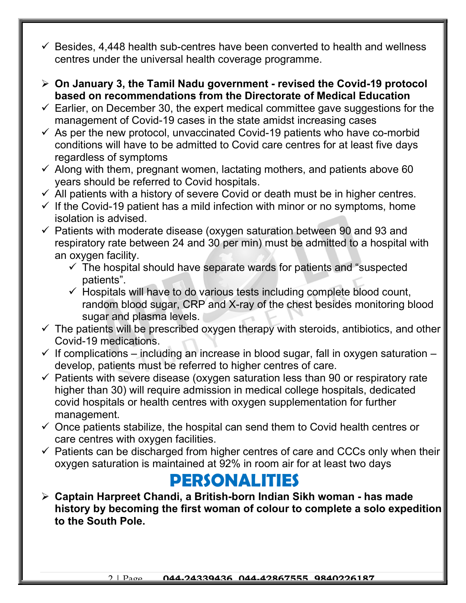- $\checkmark$  Besides, 4,448 health sub-centres have been converted to health and wellness centres under the universal health coverage programme.
- $\geq$  On January 3, the Tamil Nadu government revised the Covid-19 protocol based on recommendations from the Directorate of Medical Education
- $\checkmark$  Earlier, on December 30, the expert medical committee gave suggestions for the management of Covid-19 cases in the state amidst increasing cases
- $\checkmark$  As per the new protocol, unvaccinated Covid-19 patients who have co-morbid conditions will have to be admitted to Covid care centres for at least five days regardless of symptoms
- $\checkmark$  Along with them, pregnant women, lactating mothers, and patients above 60 years should be referred to Covid hospitals.
- $\checkmark$  All patients with a history of severe Covid or death must be in higher centres.
- $\checkmark$  If the Covid-19 patient has a mild infection with minor or no symptoms, home isolation is advised.
- $\checkmark$  Patients with moderate disease (oxygen saturation between 90 and 93 and respiratory rate between 24 and 30 per min) must be admitted to a hospital with an oxygen facility.
	- $\checkmark$  The hospital should have separate wards for patients and "suspected" patients".
	- $\checkmark$  Hospitals will have to do various tests including complete blood count, random blood sugar, CRP and X-ray of the chest besides monitoring blood sugar and plasma levels.
- $\checkmark$  The patients will be prescribed oxygen therapy with steroids, antibiotics, and other Covid-19 medications.
- $\checkmark$  If complications including an increase in blood sugar, fall in oxygen saturation develop, patients must be referred to higher centres of care.
- $\checkmark$  Patients with severe disease (oxygen saturation less than 90 or respiratory rate higher than 30) will require admission in medical college hospitals, dedicated covid hospitals or health centres with oxygen supplementation for further management.
- $\checkmark$  Once patients stabilize, the hospital can send them to Covid health centres or care centres with oxygen facilities.
- $\checkmark$  Patients can be discharged from higher centres of care and CCCs only when their oxygen saturation is maintained at 92% in room air for at least two days

#### PERSONALITIES

 Captain Harpreet Chandi, a British-born Indian Sikh woman - has made history by becoming the first woman of colour to complete a solo expedition to the South Pole.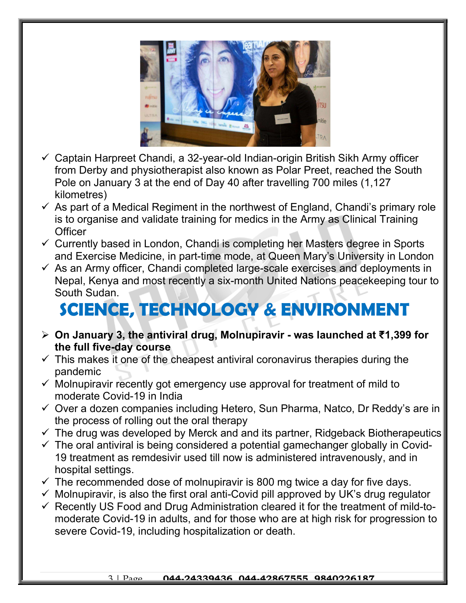

- $\checkmark$  Captain Harpreet Chandi, a 32-year-old Indian-origin British Sikh Army officer from Derby and physiotherapist also known as Polar Preet, reached the South Pole on January 3 at the end of Day 40 after travelling 700 miles (1,127 kilometres)
- $\checkmark$  As part of a Medical Regiment in the northwest of England, Chandi's primary role is to organise and validate training for medics in the Army as Clinical Training **Officer**
- $\checkmark$  Currently based in London, Chandi is completing her Masters degree in Sports and Exercise Medicine, in part-time mode, at Queen Mary's University in London
- $\checkmark$  As an Army officer, Chandi completed large-scale exercises and deployments in Nepal, Kenya and most recently a six-month United Nations peacekeeping tour to South Sudan.

## SCIENCE, TECHNOLOGY & ENVIRONMENT

- On January 3, the antiviral drug, Molnupiravir was launched at ₹1,399 for the full five-day course
- $\checkmark$  This makes it one of the cheapest antiviral coronavirus therapies during the pandemic
- $\checkmark$  Molnupiravir recently got emergency use approval for treatment of mild to moderate Covid-19 in India
- $\checkmark$  Over a dozen companies including Hetero, Sun Pharma, Natco, Dr Reddy's are in the process of rolling out the oral therapy
- $\checkmark$  The drug was developed by Merck and and its partner, Ridgeback Biotherapeutics
- $\checkmark$  The oral antiviral is being considered a potential gamechanger globally in Covid-19 treatment as remdesivir used till now is administered intravenously, and in hospital settings.
- $\checkmark$  The recommended dose of molnupiravir is 800 mg twice a day for five days.
- $\checkmark$  Molnupiravir, is also the first oral anti-Covid pill approved by UK's drug regulator
- $\checkmark$  Recently US Food and Drug Administration cleared it for the treatment of mild-tomoderate Covid-19 in adults, and for those who are at high risk for progression to severe Covid-19, including hospitalization or death.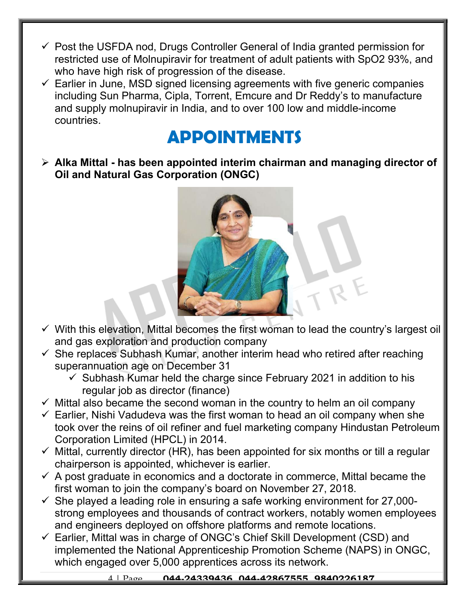- $\checkmark$  Post the USFDA nod, Drugs Controller General of India granted permission for restricted use of Molnupiravir for treatment of adult patients with SpO2 93%, and who have high risk of progression of the disease.
- $\checkmark$  Earlier in June, MSD signed licensing agreements with five generic companies including Sun Pharma, Cipla, Torrent, Emcure and Dr Reddy's to manufacture and supply molnupiravir in India, and to over 100 low and middle-income countries.

### APPOINTMENTS

 $\triangleright$  Alka Mittal - has been appointed interim chairman and managing director of Oil and Natural Gas Corporation (ONGC)



- $\checkmark$  With this elevation, Mittal becomes the first woman to lead the country's largest oil and gas exploration and production company
- $\checkmark$  She replaces Subhash Kumar, another interim head who retired after reaching superannuation age on December 31
	- $\checkmark$  Subhash Kumar held the charge since February 2021 in addition to his regular job as director (finance)
- $\checkmark$  Mittal also became the second woman in the country to helm an oil company
- $\checkmark$  Earlier, Nishi Vadudeva was the first woman to head an oil company when she took over the reins of oil refiner and fuel marketing company Hindustan Petroleum Corporation Limited (HPCL) in 2014.
- $\checkmark$  Mittal, currently director (HR), has been appointed for six months or till a regular chairperson is appointed, whichever is earlier.
- $\checkmark$  A post graduate in economics and a doctorate in commerce, Mittal became the first woman to join the company's board on November 27, 2018.
- $\checkmark$  She played a leading role in ensuring a safe working environment for 27,000strong employees and thousands of contract workers, notably women employees and engineers deployed on offshore platforms and remote locations.
- $\checkmark$  Earlier, Mittal was in charge of ONGC's Chief Skill Development (CSD) and implemented the National Apprenticeship Promotion Scheme (NAPS) in ONGC, which engaged over 5,000 apprentices across its network.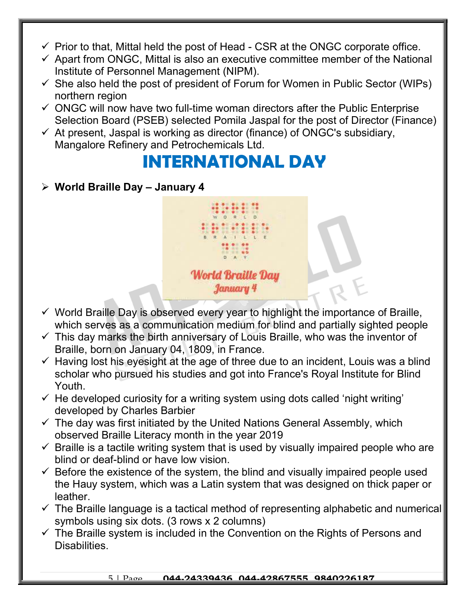- $\checkmark$  Prior to that, Mittal held the post of Head CSR at the ONGC corporate office.
- $\checkmark$  Apart from ONGC, Mittal is also an executive committee member of the National Institute of Personnel Management (NIPM).
- $\checkmark$  She also held the post of president of Forum for Women in Public Sector (WIPs) northern region
- $\checkmark$  ONGC will now have two full-time woman directors after the Public Enterprise Selection Board (PSEB) selected Pomila Jaspal for the post of Director (Finance)
- $\checkmark$  At present, Jaspal is working as director (finance) of ONGC's subsidiary, Mangalore Refinery and Petrochemicals Ltd.

#### INTERNATIONAL DAY

 $\triangleright$  World Braille Day - January 4



- $\checkmark$  World Braille Day is observed every year to highlight the importance of Braille, which serves as a communication medium for blind and partially sighted people
- $\checkmark$  This day marks the birth anniversary of Louis Braille, who was the inventor of Braille, born on January 04, 1809, in France.
- $\checkmark$  Having lost his eyesight at the age of three due to an incident, Louis was a blind scholar who pursued his studies and got into France's Royal Institute for Blind Youth.
- $\checkmark$  He developed curiosity for a writing system using dots called 'night writing' developed by Charles Barbier
- $\checkmark$  The day was first initiated by the United Nations General Assembly, which observed Braille Literacy month in the year 2019
- $\checkmark$  Braille is a tactile writing system that is used by visually impaired people who are blind or deaf-blind or have low vision.
- $\checkmark$  Before the existence of the system, the blind and visually impaired people used the Hauy system, which was a Latin system that was designed on thick paper or leather.
- $\checkmark$  The Braille language is a tactical method of representing alphabetic and numerical symbols using six dots. (3 rows x 2 columns)
- $\checkmark$  The Braille system is included in the Convention on the Rights of Persons and Disabilities.